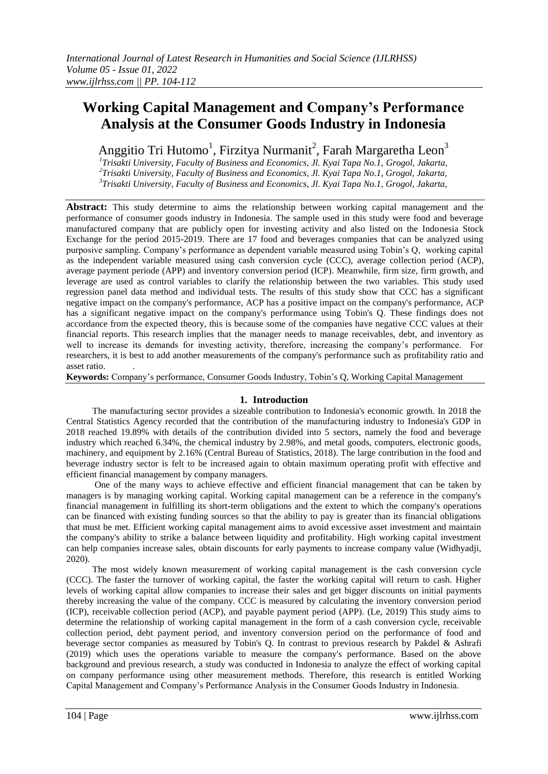# **Working Capital Management and Company's Performance Analysis at the Consumer Goods Industry in Indonesia**

Anggitio Tri Hutomo<sup>1</sup>, Firzitya Nurmanit<sup>2</sup>, Farah Margaretha Leon<sup>3</sup>

*1 Trisakti University, Faculty of Business and Economics, Jl. Kyai Tapa No.1, Grogol, Jakarta, 2 Trisakti University, Faculty of Business and Economics, Jl. Kyai Tapa No.1, Grogol, Jakarta, 3 Trisakti University, Faculty of Business and Economics, Jl. Kyai Tapa No.1, Grogol, Jakarta,* 

**Abstract:** This study determine to aims the relationship between working capital management and the performance of consumer goods industry in Indonesia. The sample used in this study were food and beverage manufactured company that are publicly open for investing activity and also listed on the Indonesia Stock Exchange for the period 2015-2019. There are 17 food and beverages companies that can be analyzed using purposive sampling. Company's performance as dependent variable measured using Tobin's Q, working capital as the independent variable measured using cash conversion cycle (CCC), average collection period (ACP), average payment periode (APP) and inventory conversion period (ICP). Meanwhile, firm size, firm growth, and leverage are used as control variables to clarify the relationship between the two variables. This study used regression panel data method and individual tests. The results of this study show that CCC has a significant negative impact on the company's performance, ACP has a positive impact on the company's performance, ACP has a significant negative impact on the company's performance using Tobin's Q. These findings does not accordance from the expected theory, this is because some of the companies have negative CCC values at their financial reports. This research implies that the manager needs to manage receivables, debt, and inventory as well to increase its demands for investing activity, therefore, increasing the company's performance. For researchers, it is best to add another measurements of the company's performance such as profitability ratio and asset ratio.

**Keywords:** Company's performance, Consumer Goods Industry, Tobin's Q, Working Capital Management

## **1. Introduction**

The manufacturing sector provides a sizeable contribution to Indonesia's economic growth. In 2018 the Central Statistics Agency recorded that the contribution of the manufacturing industry to Indonesia's GDP in 2018 reached 19.89% with details of the contribution divided into 5 sectors, namely the food and beverage industry which reached 6.34%, the chemical industry by 2.98%, and metal goods, computers, electronic goods, machinery, and equipment by 2.16% (Central Bureau of Statistics, 2018). The large contribution in the food and beverage industry sector is felt to be increased again to obtain maximum operating profit with effective and efficient financial management by company managers.

One of the many ways to achieve effective and efficient financial management that can be taken by managers is by managing working capital. Working capital management can be a reference in the company's financial management in fulfilling its short-term obligations and the extent to which the company's operations can be financed with existing funding sources so that the ability to pay is greater than its financial obligations that must be met. Efficient working capital management aims to avoid excessive asset investment and maintain the company's ability to strike a balance between liquidity and profitability. High working capital investment can help companies increase sales, obtain discounts for early payments to increase company value (Widhyadji, 2020).

The most widely known measurement of working capital management is the cash conversion cycle (CCC). The faster the turnover of working capital, the faster the working capital will return to cash. Higher levels of working capital allow companies to increase their sales and get bigger discounts on initial payments thereby increasing the value of the company. CCC is measured by calculating the inventory conversion period (ICP), receivable collection period (ACP), and payable payment period (APP). (Le, 2019) This study aims to determine the relationship of working capital management in the form of a cash conversion cycle, receivable collection period, debt payment period, and inventory conversion period on the performance of food and beverage sector companies as measured by Tobin's Q. In contrast to previous research by Pakdel & Ashrafi (2019) which uses the operations variable to measure the company's performance. Based on the above background and previous research, a study was conducted in Indonesia to analyze the effect of working capital on company performance using other measurement methods. Therefore, this research is entitled Working Capital Management and Company's Performance Analysis in the Consumer Goods Industry in Indonesia.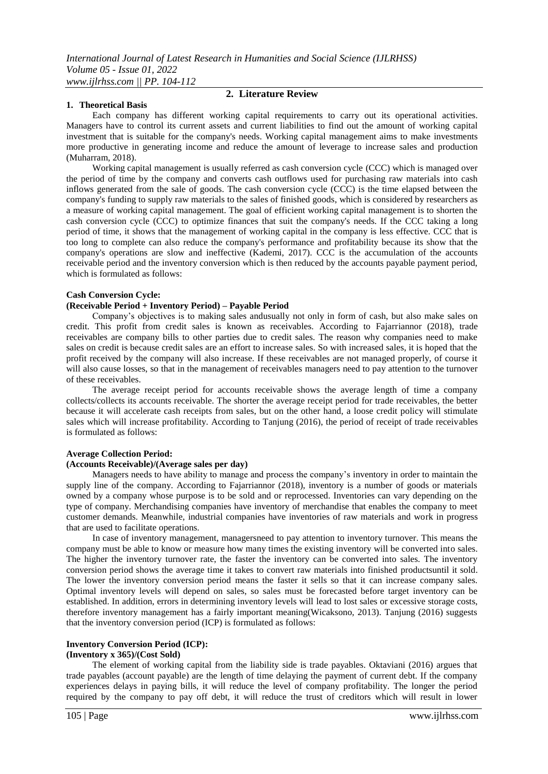#### **1. Theoretical Basis**

## **2. Literature Review**

Each company has different working capital requirements to carry out its operational activities. Managers have to control its current assets and current liabilities to find out the amount of working capital investment that is suitable for the company's needs. Working capital management aims to make investments more productive in generating income and reduce the amount of leverage to increase sales and production (Muharram, 2018).

Working capital management is usually referred as cash conversion cycle (CCC) which is managed over the period of time by the company and converts cash outflows used for purchasing raw materials into cash inflows generated from the sale of goods. The cash conversion cycle (CCC) is the time elapsed between the company's funding to supply raw materials to the sales of finished goods, which is considered by researchers as a measure of working capital management. The goal of efficient working capital management is to shorten the cash conversion cycle (CCC) to optimize finances that suit the company's needs. If the CCC taking a long period of time, it shows that the management of working capital in the company is less effective. CCC that is too long to complete can also reduce the company's performance and profitability because its show that the company's operations are slow and ineffective (Kademi, 2017). CCC is the accumulation of the accounts receivable period and the inventory conversion which is then reduced by the accounts payable payment period, which is formulated as follows:

#### **Cash Conversion Cycle:**

#### **(Receivable Period + Inventory Period) – Payable Period**

Company's objectives is to making sales andusually not only in form of cash, but also make sales on credit. This profit from credit sales is known as receivables. According to Fajarriannor (2018), trade receivables are company bills to other parties due to credit sales. The reason why companies need to make sales on credit is because credit sales are an effort to increase sales. So with increased sales, it is hoped that the profit received by the company will also increase. If these receivables are not managed properly, of course it will also cause losses, so that in the management of receivables managers need to pay attention to the turnover of these receivables.

The average receipt period for accounts receivable shows the average length of time a company collects/collects its accounts receivable. The shorter the average receipt period for trade receivables, the better because it will accelerate cash receipts from sales, but on the other hand, a loose credit policy will stimulate sales which will increase profitability. According to Tanjung (2016), the period of receipt of trade receivables is formulated as follows:

## **Average Collection Period:**

#### **(Accounts Receivable)/(Average sales per day)**

Managers needs to have ability to manage and process the company's inventory in order to maintain the supply line of the company. According to Fajarriannor (2018), inventory is a number of goods or materials owned by a company whose purpose is to be sold and or reprocessed. Inventories can vary depending on the type of company. Merchandising companies have inventory of merchandise that enables the company to meet customer demands. Meanwhile, industrial companies have inventories of raw materials and work in progress that are used to facilitate operations.

In case of inventory management, managersneed to pay attention to inventory turnover. This means the company must be able to know or measure how many times the existing inventory will be converted into sales. The higher the inventory turnover rate, the faster the inventory can be converted into sales. The inventory conversion period shows the average time it takes to convert raw materials into finished productsuntil it sold. The lower the inventory conversion period means the faster it sells so that it can increase company sales. Optimal inventory levels will depend on sales, so sales must be forecasted before target inventory can be established. In addition, errors in determining inventory levels will lead to lost sales or excessive storage costs, therefore inventory management has a fairly important meaning(Wicaksono, 2013). Tanjung (2016) suggests that the inventory conversion period (ICP) is formulated as follows:

#### **Inventory Conversion Period (ICP): (Inventory x 365)/(Cost Sold)**

The element of working capital from the liability side is trade payables. Oktaviani (2016) argues that trade payables (account payable) are the length of time delaying the payment of current debt. If the company experiences delays in paying bills, it will reduce the level of company profitability. The longer the period required by the company to pay off debt, it will reduce the trust of creditors which will result in lower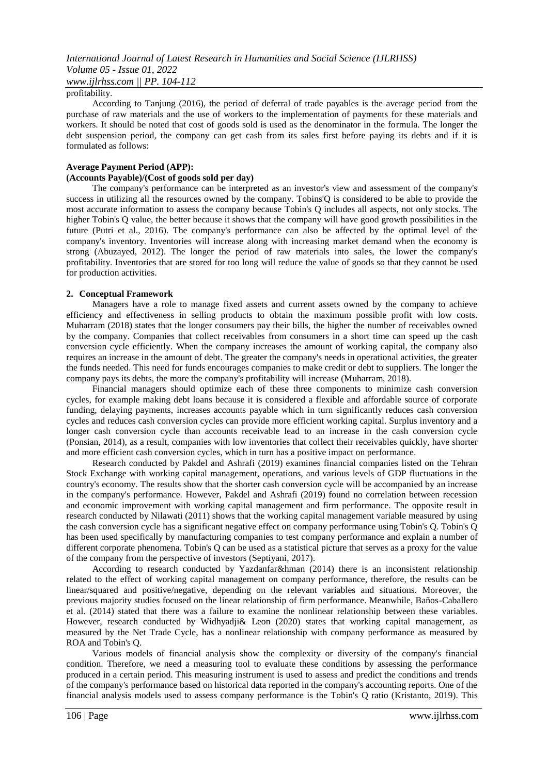#### profitability.

According to Tanjung (2016), the period of deferral of trade payables is the average period from the purchase of raw materials and the use of workers to the implementation of payments for these materials and workers. It should be noted that cost of goods sold is used as the denominator in the formula. The longer the debt suspension period, the company can get cash from its sales first before paying its debts and if it is formulated as follows:

## **Average Payment Period (APP):**

## **(Accounts Payable)/(Cost of goods sold per day)**

The company's performance can be interpreted as an investor's view and assessment of the company's success in utilizing all the resources owned by the company. Tobins'Q is considered to be able to provide the most accurate information to assess the company because Tobin's Q includes all aspects, not only stocks. The higher Tobin's Q value, the better because it shows that the company will have good growth possibilities in the future (Putri et al., 2016). The company's performance can also be affected by the optimal level of the company's inventory. Inventories will increase along with increasing market demand when the economy is strong (Abuzayed, 2012). The longer the period of raw materials into sales, the lower the company's profitability. Inventories that are stored for too long will reduce the value of goods so that they cannot be used for production activities.

#### **2. Conceptual Framework**

Managers have a role to manage fixed assets and current assets owned by the company to achieve efficiency and effectiveness in selling products to obtain the maximum possible profit with low costs. Muharram (2018) states that the longer consumers pay their bills, the higher the number of receivables owned by the company. Companies that collect receivables from consumers in a short time can speed up the cash conversion cycle efficiently. When the company increases the amount of working capital, the company also requires an increase in the amount of debt. The greater the company's needs in operational activities, the greater the funds needed. This need for funds encourages companies to make credit or debt to suppliers. The longer the company pays its debts, the more the company's profitability will increase (Muharram, 2018).

Financial managers should optimize each of these three components to minimize cash conversion cycles, for example making debt loans because it is considered a flexible and affordable source of corporate funding, delaying payments, increases accounts payable which in turn significantly reduces cash conversion cycles and reduces cash conversion cycles can provide more efficient working capital. Surplus inventory and a longer cash conversion cycle than accounts receivable lead to an increase in the cash conversion cycle (Ponsian, 2014), as a result, companies with low inventories that collect their receivables quickly, have shorter and more efficient cash conversion cycles, which in turn has a positive impact on performance.

Research conducted by Pakdel and Ashrafi (2019) examines financial companies listed on the Tehran Stock Exchange with working capital management, operations, and various levels of GDP fluctuations in the country's economy. The results show that the shorter cash conversion cycle will be accompanied by an increase in the company's performance. However, Pakdel and Ashrafi (2019) found no correlation between recession and economic improvement with working capital management and firm performance. The opposite result in research conducted by Nilawati (2011) shows that the working capital management variable measured by using the cash conversion cycle has a significant negative effect on company performance using Tobin's Q. Tobin's Q has been used specifically by manufacturing companies to test company performance and explain a number of different corporate phenomena. Tobin's Q can be used as a statistical picture that serves as a proxy for the value of the company from the perspective of investors (Septiyani, 2017).

According to research conducted by Yazdanfar&hman (2014) there is an inconsistent relationship related to the effect of working capital management on company performance, therefore, the results can be linear/squared and positive/negative, depending on the relevant variables and situations. Moreover, the previous majority studies focused on the linear relationship of firm performance. Meanwhile, Baños-Caballero et al. (2014) stated that there was a failure to examine the nonlinear relationship between these variables. However, research conducted by Widhyadji& Leon (2020) states that working capital management, as measured by the Net Trade Cycle, has a nonlinear relationship with company performance as measured by ROA and Tobin's Q.

Various models of financial analysis show the complexity or diversity of the company's financial condition. Therefore, we need a measuring tool to evaluate these conditions by assessing the performance produced in a certain period. This measuring instrument is used to assess and predict the conditions and trends of the company's performance based on historical data reported in the company's accounting reports. One of the financial analysis models used to assess company performance is the Tobin's Q ratio (Kristanto, 2019). This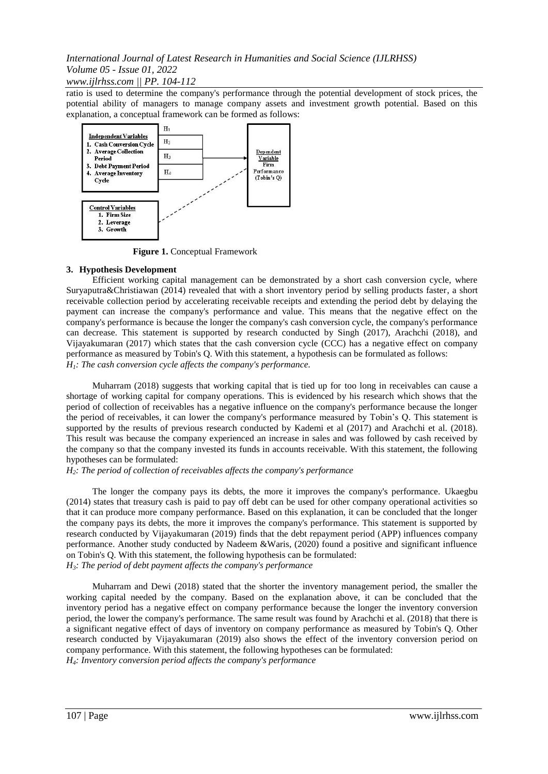*www.ijlrhss.com || PP. 104-112*

ratio is used to determine the company's performance through the potential development of stock prices, the potential ability of managers to manage company assets and investment growth potential. Based on this explanation, a conceptual framework can be formed as follows:



**Figure 1.** Conceptual Framework

## **3. Hypothesis Development**

Efficient working capital management can be demonstrated by a short cash conversion cycle, where Suryaputra&Christiawan (2014) revealed that with a short inventory period by selling products faster, a short receivable collection period by accelerating receivable receipts and extending the period debt by delaying the payment can increase the company's performance and value. This means that the negative effect on the company's performance is because the longer the company's cash conversion cycle, the company's performance can decrease. This statement is supported by research conducted by Singh (2017), Arachchi (2018), and Vijayakumaran (2017) which states that the cash conversion cycle (CCC) has a negative effect on company performance as measured by Tobin's Q. With this statement, a hypothesis can be formulated as follows: *H1: The cash conversion cycle affects the company's performance.*

Muharram (2018) suggests that working capital that is tied up for too long in receivables can cause a shortage of working capital for company operations. This is evidenced by his research which shows that the period of collection of receivables has a negative influence on the company's performance because the longer the period of receivables, it can lower the company's performance measured by Tobin's Q. This statement is supported by the results of previous research conducted by Kademi et al (2017) and Arachchi et al. (2018). This result was because the company experienced an increase in sales and was followed by cash received by the company so that the company invested its funds in accounts receivable. With this statement, the following hypotheses can be formulated:

## *H2: The period of collection of receivables affects the company's performance*

The longer the company pays its debts, the more it improves the company's performance. Ukaegbu (2014) states that treasury cash is paid to pay off debt can be used for other company operational activities so that it can produce more company performance. Based on this explanation, it can be concluded that the longer the company pays its debts, the more it improves the company's performance. This statement is supported by research conducted by Vijayakumaran (2019) finds that the debt repayment period (APP) influences company performance. Another study conducted by Nadeem &Waris, (2020) found a positive and significant influence on Tobin's Q. With this statement, the following hypothesis can be formulated: *H3: The period of debt payment affects the company's performance*

Muharram and Dewi (2018) stated that the shorter the inventory management period, the smaller the working capital needed by the company. Based on the explanation above, it can be concluded that the inventory period has a negative effect on company performance because the longer the inventory conversion period, the lower the company's performance. The same result was found by Arachchi et al. (2018) that there is a significant negative effect of days of inventory on company performance as measured by Tobin's Q. Other research conducted by Vijayakumaran (2019) also shows the effect of the inventory conversion period on company performance. With this statement, the following hypotheses can be formulated:

*H4: Inventory conversion period affects the company's performance*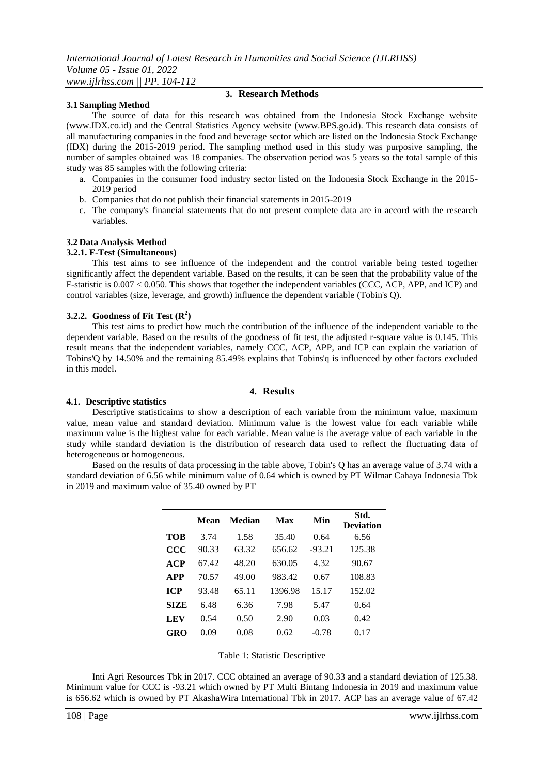## **3.1 Sampling Method**

## **3. Research Methods**

The source of data for this research was obtained from the Indonesia Stock Exchange website (www.IDX.co.id) and the Central Statistics Agency website (www.BPS.go.id). This research data consists of all manufacturing companies in the food and beverage sector which are listed on the Indonesia Stock Exchange (IDX) during the 2015-2019 period. The sampling method used in this study was purposive sampling, the number of samples obtained was 18 companies. The observation period was 5 years so the total sample of this study was 85 samples with the following criteria:

- a. Companies in the consumer food industry sector listed on the Indonesia Stock Exchange in the 2015- 2019 period
- b. Companies that do not publish their financial statements in 2015-2019
- c. The company's financial statements that do not present complete data are in accord with the research variables.

## **3.2 Data Analysis Method**

## **3.2.1. F-Test (Simultaneous)**

This test aims to see influence of the independent and the control variable being tested together significantly affect the dependent variable. Based on the results, it can be seen that the probability value of the F-statistic is 0.007 < 0.050. This shows that together the independent variables (CCC, ACP, APP, and ICP) and control variables (size, leverage, and growth) influence the dependent variable (Tobin's Q).

## **3.2.2. Goodness of Fit Test (R<sup>2</sup> )**

This test aims to predict how much the contribution of the influence of the independent variable to the dependent variable. Based on the results of the goodness of fit test, the adjusted r-square value is 0.145. This result means that the independent variables, namely CCC, ACP, APP, and ICP can explain the variation of Tobins'Q by 14.50% and the remaining 85.49% explains that Tobins'q is influenced by other factors excluded in this model.

## **4. Results**

## **4.1. Descriptive statistics**

Descriptive statisticaims to show a description of each variable from the minimum value, maximum value, mean value and standard deviation. Minimum value is the lowest value for each variable while maximum value is the highest value for each variable. Mean value is the average value of each variable in the study while standard deviation is the distribution of research data used to reflect the fluctuating data of heterogeneous or homogeneous.

Based on the results of data processing in the table above, Tobin's Q has an average value of 3.74 with a standard deviation of 6.56 while minimum value of 0.64 which is owned by PT Wilmar Cahaya Indonesia Tbk in 2019 and maximum value of 35.40 owned by PT

|               | Mean  | Median | Max     | Min      | Std.<br><b>Deviation</b> |
|---------------|-------|--------|---------|----------|--------------------------|
| TOB           | 3.74  | 1.58   | 35.40   | 0.64     | 6.56                     |
| $\bf C \bf C$ | 90.33 | 63.32  | 656.62  | $-93.21$ | 125.38                   |
| ACP           | 67.42 | 48.20  | 630.05  | 4.32     | 90.67                    |
| <b>APP</b>    | 70.57 | 49.00  | 983.42  | 0.67     | 108.83                   |
| <b>ICP</b>    | 93.48 | 65.11  | 1396.98 | 15.17    | 152.02                   |
| SIZE          | 6.48  | 6.36   | 7.98    | 5.47     | 0.64                     |
| LEV           | 0.54  | 0.50   | 2.90    | 0.03     | 0.42                     |
| GRO           | 0.09  | 0.08   | 0.62    | -0.78    | 0.17                     |

|  |  |  | Table 1: Statistic Descriptive |
|--|--|--|--------------------------------|
|--|--|--|--------------------------------|

Inti Agri Resources Tbk in 2017. CCC obtained an average of 90.33 and a standard deviation of 125.38. Minimum value for CCC is -93.21 which owned by PT Multi Bintang Indonesia in 2019 and maximum value is 656.62 which is owned by PT AkashaWira International Tbk in 2017. ACP has an average value of 67.42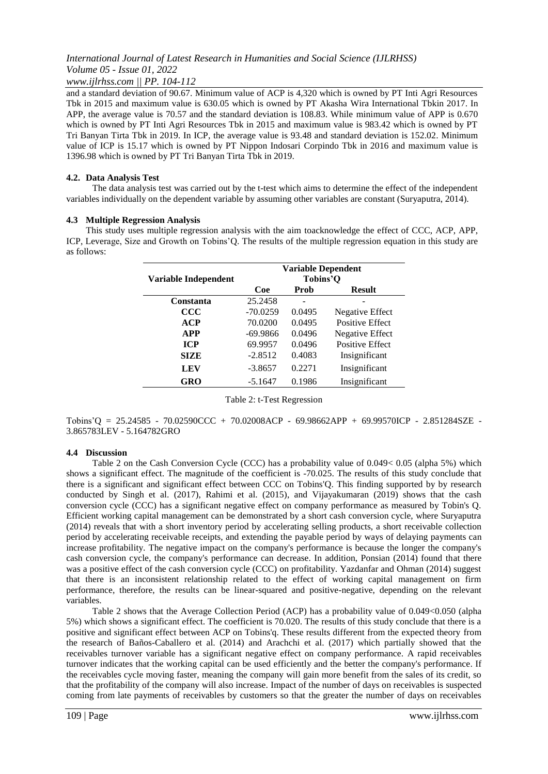*www.ijlrhss.com || PP. 104-112*

and a standard deviation of 90.67. Minimum value of ACP is 4,320 which is owned by PT Inti Agri Resources Tbk in 2015 and maximum value is 630.05 which is owned by PT Akasha Wira International Tbkin 2017. In APP, the average value is 70.57 and the standard deviation is 108.83. While minimum value of APP is 0.670 which is owned by PT Inti Agri Resources Tbk in 2015 and maximum value is 983.42 which is owned by PT Tri Banyan Tirta Tbk in 2019. In ICP, the average value is 93.48 and standard deviation is 152.02. Minimum value of ICP is 15.17 which is owned by PT Nippon Indosari Corpindo Tbk in 2016 and maximum value is 1396.98 which is owned by PT Tri Banyan Tirta Tbk in 2019.

## **4.2. Data Analysis Test**

The data analysis test was carried out by the t-test which aims to determine the effect of the independent variables individually on the dependent variable by assuming other variables are constant (Suryaputra, 2014).

## **4.3 Multiple Regression Analysis**

This study uses multiple regression analysis with the aim toacknowledge the effect of CCC, ACP, APP, ICP, Leverage, Size and Growth on Tobins'Q. The results of the multiple regression equation in this study are as follows:

|                      | <b>Variable Dependent</b> |        |                        |  |  |
|----------------------|---------------------------|--------|------------------------|--|--|
| Variable Independent | Tobins'O                  |        |                        |  |  |
|                      | Coe                       | Prob   | <b>Result</b>          |  |  |
| <b>Constanta</b>     | 25.2458                   |        |                        |  |  |
| ccc                  | $-70.0259$                | 0.0495 | Negative Effect        |  |  |
| ACP                  | 70.0200                   | 0.0495 | <b>Positive Effect</b> |  |  |
| <b>APP</b>           | $-69.9866$                | 0.0496 | Negative Effect        |  |  |
| <b>ICP</b>           | 69.9957                   | 0.0496 | <b>Positive Effect</b> |  |  |
| <b>SIZE</b>          | $-2.8512$                 | 0.4083 | Insignificant          |  |  |
| <b>LEV</b>           | $-3.8657$                 | 0.2271 | Insignificant          |  |  |
| <b>GRO</b>           | $-5.1647$                 | 0.1986 | Insignificant          |  |  |

Table 2: t-Test Regression

Tobins'Q = 25.24585 - 70.02590CCC + 70.02008ACP - 69.98662APP + 69.99570ICP - 2.851284SZE - 3.865783LEV - 5.164782GRO

## **4.4 Discussion**

Table 2 on the Cash Conversion Cycle (CCC) has a probability value of 0.049< 0.05 (alpha 5%) which shows a significant effect. The magnitude of the coefficient is -70.025. The results of this study conclude that there is a significant and significant effect between CCC on Tobins'Q. This finding supported by by research conducted by Singh et al. (2017), Rahimi et al. (2015), and Vijayakumaran (2019) shows that the cash conversion cycle (CCC) has a significant negative effect on company performance as measured by Tobin's Q. Efficient working capital management can be demonstrated by a short cash conversion cycle, where Suryaputra (2014) reveals that with a short inventory period by accelerating selling products, a short receivable collection period by accelerating receivable receipts, and extending the payable period by ways of delaying payments can increase profitability. The negative impact on the company's performance is because the longer the company's cash conversion cycle, the company's performance can decrease. In addition, Ponsian (2014) found that there was a positive effect of the cash conversion cycle (CCC) on profitability. Yazdanfar and Ohman (2014) suggest that there is an inconsistent relationship related to the effect of working capital management on firm performance, therefore, the results can be linear-squared and positive-negative, depending on the relevant variables.

Table 2 shows that the Average Collection Period (ACP) has a probability value of 0.049<0.050 (alpha 5%) which shows a significant effect. The coefficient is 70.020. The results of this study conclude that there is a positive and significant effect between ACP on Tobins'q. These results different from the expected theory from the research of Baños-Caballero et al. (2014) and Arachchi et al. (2017) which partially showed that the receivables turnover variable has a significant negative effect on company performance. A rapid receivables turnover indicates that the working capital can be used efficiently and the better the company's performance. If the receivables cycle moving faster, meaning the company will gain more benefit from the sales of its credit, so that the profitability of the company will also increase. Impact of the number of days on receivables is suspected coming from late payments of receivables by customers so that the greater the number of days on receivables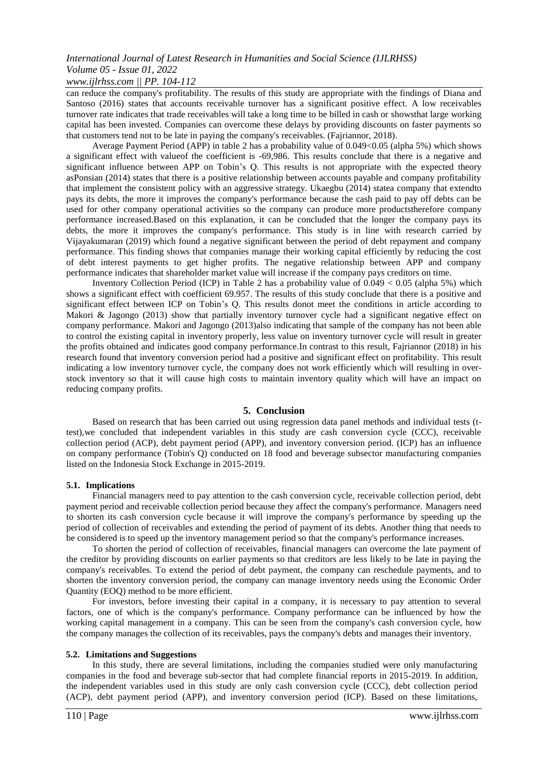## *www.ijlrhss.com || PP. 104-112*

can reduce the company's profitability. The results of this study are appropriate with the findings of Diana and Santoso (2016) states that accounts receivable turnover has a significant positive effect. A low receivables turnover rate indicates that trade receivables will take a long time to be billed in cash or showsthat large working capital has been invested. Companies can overcome these delays by providing discounts on faster payments so that customers tend not to be late in paying the company's receivables. (Fajriannor, 2018).

Average Payment Period (APP) in table 2 has a probability value of 0.049<0.05 (alpha 5%) which shows a significant effect with valueof the coefficient is -69,986. This results conclude that there is a negative and significant influence between APP on Tobin's Q. This results is not appropriate with the expected theory asPonsian (2014) states that there is a positive relationship between accounts payable and company profitability that implement the consistent policy with an aggressive strategy. Ukaegbu (2014) statea company that extendto pays its debts, the more it improves the company's performance because the cash paid to pay off debts can be used for other company operational activities so the company can produce more productstherefore company performance increased.Based on this explanation, it can be concluded that the longer the company pays its debts, the more it improves the company's performance. This study is in line with research carried by Vijayakumaran (2019) which found a negative significant between the period of debt repayment and company performance. This finding shows that companies manage their working capital efficiently by reducing the cost of debt interest payments to get higher profits. The negative relationship between APP and company performance indicates that shareholder market value will increase if the company pays creditors on time.

Inventory Collection Period (ICP) in Table 2 has a probability value of 0.049 < 0.05 (alpha 5%) which shows a significant effect with coefficient 69.957. The results of this study conclude that there is a positive and significant effect between ICP on Tobin's Q. This results donot meet the conditions in article according to Makori & Jagongo (2013) show that partially inventory turnover cycle had a significant negative effect on company performance. Makori and Jagongo (2013)also indicating that sample of the company has not been able to control the existing capital in inventory properly, less value on inventory turnover cycle will result in greater the profits obtained and indicates good company performance.In contrast to this result, Fajriannor (2018) in his research found that inventory conversion period had a positive and significant effect on profitability. This result indicating a low inventory turnover cycle, the company does not work efficiently which will resulting in overstock inventory so that it will cause high costs to maintain inventory quality which will have an impact on reducing company profits.

## **5. Conclusion**

Based on research that has been carried out using regression data panel methods and individual tests (ttest),we concluded that independent variables in this study are cash conversion cycle (CCC), receivable collection period (ACP), debt payment period (APP), and inventory conversion period. (ICP) has an influence on company performance (Tobin's Q) conducted on 18 food and beverage subsector manufacturing companies listed on the Indonesia Stock Exchange in 2015-2019.

## **5.1. Implications**

Financial managers need to pay attention to the cash conversion cycle, receivable collection period, debt payment period and receivable collection period because they affect the company's performance. Managers need to shorten its cash conversion cycle because it will improve the company's performance by speeding up the period of collection of receivables and extending the period of payment of its debts. Another thing that needs to be considered is to speed up the inventory management period so that the company's performance increases.

To shorten the period of collection of receivables, financial managers can overcome the late payment of the creditor by providing discounts on earlier payments so that creditors are less likely to be late in paying the company's receivables. To extend the period of debt payment, the company can reschedule payments, and to shorten the inventory conversion period, the company can manage inventory needs using the Economic Order Quantity (EOQ) method to be more efficient.

For investors, before investing their capital in a company, it is necessary to pay attention to several factors, one of which is the company's performance. Company performance can be influenced by how the working capital management in a company. This can be seen from the company's cash conversion cycle, how the company manages the collection of its receivables, pays the company's debts and manages their inventory.

## **5.2. Limitations and Suggestions**

In this study, there are several limitations, including the companies studied were only manufacturing companies in the food and beverage sub-sector that had complete financial reports in 2015-2019. In addition, the independent variables used in this study are only cash conversion cycle (CCC), debt collection period (ACP), debt payment period (APP), and inventory conversion period (ICP). Based on these limitations,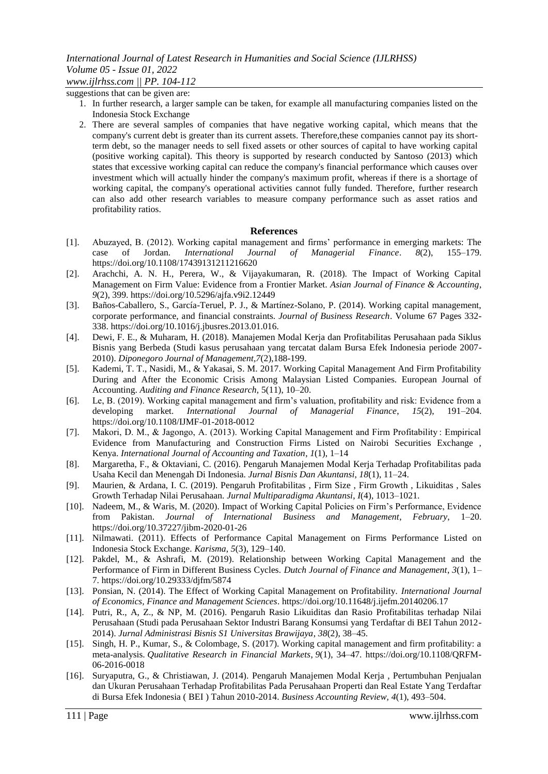suggestions that can be given are:

- 1. In further research, a larger sample can be taken, for example all manufacturing companies listed on the Indonesia Stock Exchange
- 2. There are several samples of companies that have negative working capital, which means that the company's current debt is greater than its current assets. Therefore,these companies cannot pay its shortterm debt, so the manager needs to sell fixed assets or other sources of capital to have working capital (positive working capital). This theory is supported by research conducted by Santoso (2013) which states that excessive working capital can reduce the company's financial performance which causes over investment which will actually hinder the company's maximum profit, whereas if there is a shortage of working capital, the company's operational activities cannot fully funded. Therefore, further research can also add other research variables to measure company performance such as asset ratios and profitability ratios.

## **References**

- [1]. Abuzayed, B. (2012). Working capital management and firms' performance in emerging markets: The case of Jordan. *International Journal of Managerial Finance*. *8*(2), 155–179. https://doi.org/10.1108/17439131211216620
- [2]. Arachchi, A. N. H., Perera, W., & Vijayakumaran, R. (2018). The Impact of Working Capital Management on Firm Value: Evidence from a Frontier Market. *Asian Journal of Finance & Accounting*, *9*(2), 399. https://doi.org/10.5296/ajfa.v9i2.12449
- [3]. Baños-Caballero, S., García-Teruel, P. J., & Martínez-Solano, P. (2014). Working capital management, corporate performance, and financial constraints. *Journal of Business Research*. Volume 67 Pages 332- 338. https://doi.org/10.1016/j.jbusres.2013.01.016.
- [4]. Dewi, F. E., & Muharam, H. (2018). Manajemen Modal Kerja dan Profitabilitas Perusahaan pada Siklus Bisnis yang Berbeda (Studi kasus perusahaan yang tercatat dalam Bursa Efek Indonesia periode 2007- 2010). *Diponegoro Journal of Management,7*(2),188-199.
- [5]. Kademi, T. T., Nasidi, M., & Yakasai, S. M. 2017. Working Capital Management And Firm Profitability During and After the Economic Crisis Among Malaysian Listed Companies. European Journal of Accounting. *Auditing and Finance Research,* 5(11), 10–20.
- [6]. Le, B. (2019). Working capital management and firm's valuation, profitability and risk: Evidence from a developing market. *International Journal of Managerial Finance*, *15*(2), 191–204. https://doi.org/10.1108/IJMF-01-2018-0012
- [7]. Makori, D. M., & Jagongo, A. (2013). Working Capital Management and Firm Profitability : Empirical Evidence from Manufacturing and Construction Firms Listed on Nairobi Securities Exchange , Kenya. *International Journal of Accounting and Taxation*, *1*(1), 1–14
- [8]. Margaretha, F., & Oktaviani, C. (2016). Pengaruh Manajemen Modal Kerja Terhadap Profitabilitas pada Usaha Kecil dan Menengah Di Indonesia. *Jurnal Bisnis Dan Akuntansi*, *18*(1), 11–24.
- [9]. Maurien, & Ardana, I. C. (2019). Pengaruh Profitabilitas , Firm Size , Firm Growth , Likuiditas , Sales Growth Terhadap Nilai Perusahaan. *Jurnal Multiparadigma Akuntansi*, *I*(4), 1013–1021.
- [10]. Nadeem, M., & Waris, M. (2020). Impact of Working Capital Policies on Firm's Performance, Evidence from Pakistan. *Journal of International Business and Management*, *February*, 1–20. https://doi.org/10.37227/jibm-2020-01-26
- [11]. Nilmawati. (2011). Effects of Performance Capital Management on Firms Performance Listed on Indonesia Stock Exchange. *Karisma*, *5*(3), 129–140.
- [12]. Pakdel, M., & Ashrafi, M. (2019). Relationship between Working Capital Management and the Performance of Firm in Different Business Cycles. *Dutch Journal of Finance and Management*, *3*(1), 1– 7. https://doi.org/10.29333/djfm/5874
- [13]. Ponsian, N. (2014). The Effect of Working Capital Management on Profitability. *International Journal of Economics, Finance and Management Sciences*. https://doi.org/10.11648/j.ijefm.20140206.17
- [14]. Putri, R., A, Z., & NP, M. (2016). Pengaruh Rasio Likuiditas dan Rasio Profitabilitas terhadap Nilai Perusahaan (Studi pada Perusahaan Sektor Industri Barang Konsumsi yang Terdaftar di BEI Tahun 2012- 2014). *Jurnal Administrasi Bisnis S1 Universitas Brawijaya*, *38*(2), 38–45.
- [15]. Singh, H. P., Kumar, S., & Colombage, S. (2017). Working capital management and firm profitability: a meta-analysis. *Qualitative Research in Financial Markets*, *9*(1), 34–47. https://doi.org/10.1108/QRFM-06-2016-0018
- [16]. Suryaputra, G., & Christiawan, J. (2014). Pengaruh Manajemen Modal Kerja , Pertumbuhan Penjualan dan Ukuran Perusahaan Terhadap Profitabilitas Pada Perusahaan Properti dan Real Estate Yang Terdaftar di Bursa Efek Indonesia ( BEI ) Tahun 2010-2014. *Business Accounting Review, 4*(1), 493–504.